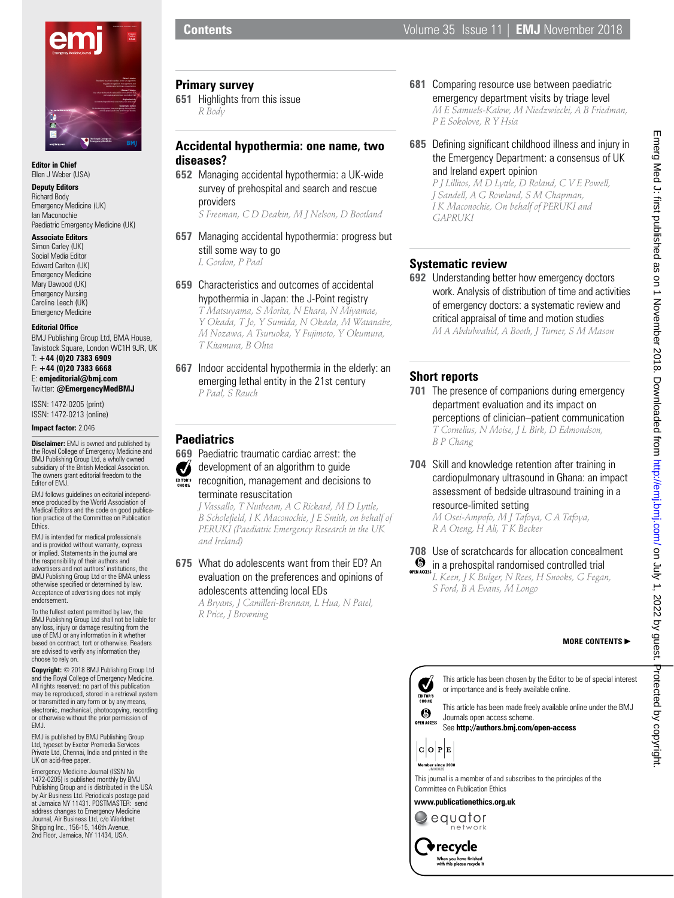

#### **Editor in Chief** Ellen J Weber (USA)

## **Deputy Editors**

Richard Body Emergency Medicine (UK) Ian Maconochie Paediatric Emergency Medicine (UK)

### **Associate Editors**

Simon Carley (UK) Social Media Editor Edward Carlton (UK) Emergency Medicine Mary Dawood (UK) Emergency Nursing Caroline Leech (UK) Emergency Medicine

## **Editorial Office**

BMJ Publishing Group Ltd, BMA House, Tavistock Square, London WC1H 9JR, UK T: **+44 (0)20 7383 6909**

F: **+44 (0)20 7383 6668** E: **emjeditorial@bmj.com** Twitter: **@EmergencyMedBMJ**

ISSN: 1472-0205 (print) ISSN: 1472-0213 (online)

### **Impact factor:** 2.046

**Disclaimer:** EMJ is owned and published by the Royal College of Emergency Medicine and BMJ Publishing Group Ltd, a wholly owned subsidiary of the British Medical Association. The owners grant editorial freedom to the Editor of EMJ.

EMJ follows guidelines on editorial independence produced by the World Association of Medical Editors and the code on good publica-tion practice of the Committee on Publication Ethics.

EMJ is intended for medical professionals and is provided without warranty, express or implied. Statements in the journal are the responsibility of their authors and advertisers and not authors' institutions, the BMJ Publishing Group Ltd or the BMA unless otherwise specified or determined by law. Acceptance of advertising does not imply endorsement.

To the fullest extent permitted by law, the BMJ Publishing Group Ltd shall not be liable for any loss, injury or damage resulting from the use of EMJ or any information in it whether based on contract, tort or otherwise. Readers are advised to verify any information they choose to rely on.

**Copyright:** © 2018 BMJ Publishing Group Ltd and the Royal College of Emergency Medicine. All rights reserved; no part of this publication may be reproduced, stored in a retrieval system or transmitted in any form or by any means, electronic, mechanical, photocopying, recording or otherwise without the prior permission of FM.I

EMJ is published by BMJ Publishing Group Ltd, typeset by Exeter Premedia Services Private Ltd, Chennai, India and printed in the UK on acid-free paper.

Emergency Medicine Journal (ISSN No 1472-0205) is published monthly by BMJ Publishing Group and is distributed in the USA by Air Business Ltd. Periodicals postage paid at Jamaica NY 11431. POSTMASTER: send address changes to Emergency Medicine Journal, Air Business Ltd, c/o Worldnet Shipping Inc., 156-15, 146th Avenue, 2nd Floor, Jamaica, NY 11434, USA.

## **Primary survey**

**651** Highlights from this issue *R Body*

# **Accidental hypothermia: one name, two diseases?**

**652** Managing accidental hypothermia: a UK-wide survey of prehospital and search and rescue providers

*S Freeman, C D Deakin, M J Nelson, D Bootland*

- **657** Managing accidental hypothermia: progress but still some way to go *L Gordon, P Paal*
- **659** Characteristics and outcomes of accidental hypothermia in Japan: the J-Point registry *T Matsuyama, S Morita, N Ehara, N Miyamae,*

*Y Okada, T Jo, Y Sumida, N Okada, M Watanabe, M Nozawa, A Tsuruoka, Y Fujimoto, Y Okumura, T Kitamura, B Ohta*

**667** Indoor accidental hypothermia in the elderly: an emerging lethal entity in the 21st century *P Paal, S Rauch*

## **Paediatrics**

- **669** Paediatric traumatic cardiac arrest: the
- development of an algorithm to quide Ø
- EDITOR'S recognition, management and decisions to terminate resuscitation

*J Vassallo, T Nutbeam, A C Rickard, M D Lyttle, B Scholefield, I K Maconochie, J E Smith, on behalf of PERUKI (Paediatric Emergency Research in the UK and Ireland)*

## **675** What do adolescents want from their ED? An evaluation on the preferences and opinions of adolescents attending local EDs

*A Bryans, J Camilleri-Brennan, L Hua, N Patel, R Price, J Browning*

- **681** Comparing resource use between paediatric emergency department visits by triage level *M E Samuels-Kalow, M Niedzwiecki, A B Friedman, P E Sokolove, R Y Hsia*
- **685** Defining significant childhood illness and injury in the Emergency Department: a consensus of UK and Ireland expert opinion

*P J Lillitos, M D Lyttle, D Roland, C V E Powell, J Sandell, A G Rowland, S M Chapman, I K Maconochie, On behalf of PERUKI and GAPRUKI*

# **Systematic review**

**692** Understanding better how emergency doctors work. Analysis of distribution of time and activities of emergency doctors: a systematic review and critical appraisal of time and motion studies *M A Abdulwahid, A Booth, J Turner, S M Mason*

# **Short reports**

- **701** The presence of companions during emergency department evaluation and its impact on perceptions of clinician–patient communication *T Cornelius, N Moise, J L Birk, D Edmondson, B P Chang*
- **704** Skill and knowledge retention after training in cardiopulmonary ultrasound in Ghana: an impact assessment of bedside ultrasound training in a resource-limited setting

*M Osei-Ampofo, M J Tafoya, C A Tafoya, R A Oteng, H Ali, T K Becker*

**708** Use of scratchcards for allocation concealment  $\bullet$  in a prehospital randomised controlled trial *L Keen, J K Bulger, N Rees, H Snooks, G Fegan, S Ford, B A Evans, M Longo*

## **MORE CONTENTS**



See **http://authors.bmj.com/open-access**



This journal is a member of and subscribes to the principles of the Committee on Publication Ethics

## **www.publicationethics.org.uk**



recycle • When you have finished<br>with this please recycle it